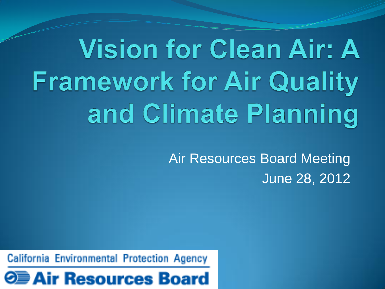# **Vision for Clean Air: A Framework for Air Quality** and Climate Planning

Air Resources Board Meeting June 28, 2012

California Environmental Protection Agency

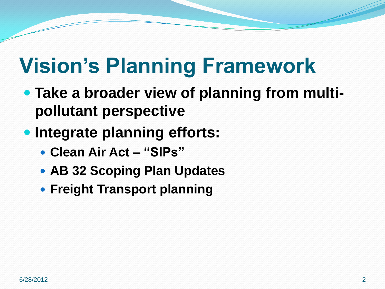## **Vision's Planning Framework**

- **Take a broader view of planning from multipollutant perspective**
- **Integrate planning efforts:**
	- **Clean Air Act – "SIPs"**
	- **AB 32 Scoping Plan Updates**
	- **Freight Transport planning**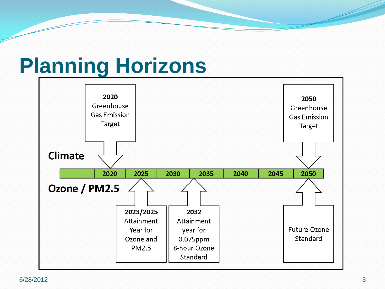### **Planning Horizons**

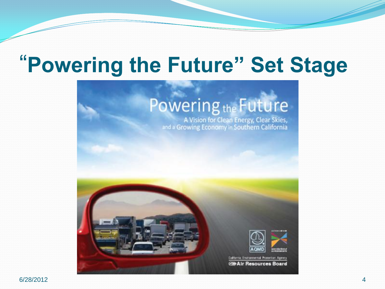### "**Powering the Future" Set Stage**

### Powering<sub>the</sub> Future

A Vision for Clean Energy, Clear Skies,<br>and a Growing Economy in Southern California

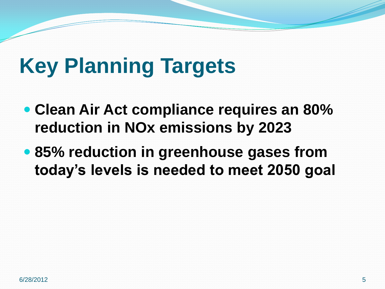## **Key Planning Targets**

- **Clean Air Act compliance requires an 80% reduction in NOx emissions by 2023**
- **85% reduction in greenhouse gases from today's levels is needed to meet 2050 goal**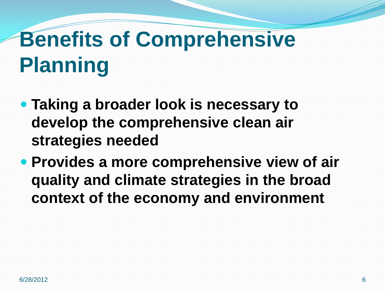## **Benefits of Comprehensive Planning**

- **Taking a broader look is necessary to develop the comprehensive clean air strategies needed**
- **Provides a more comprehensive view of air quality and climate strategies in the broad context of the economy and environment**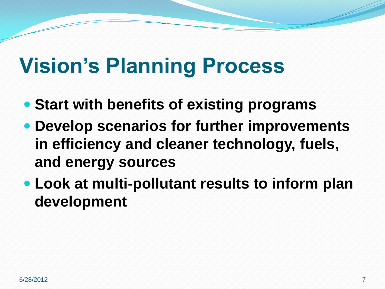### **Vision's Planning Process**

- **Start with benefits of existing programs**
- **Develop scenarios for further improvements in efficiency and cleaner technology, fuels, and energy sources**
- **Look at multi-pollutant results to inform plan development**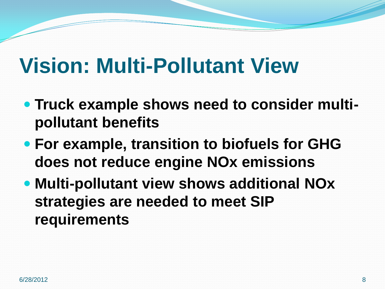#### **Vision: Multi-Pollutant View**

- **Truck example shows need to consider multipollutant benefits**
- **For example, transition to biofuels for GHG does not reduce engine NOx emissions**
- **Multi-pollutant view shows additional NOx strategies are needed to meet SIP requirements**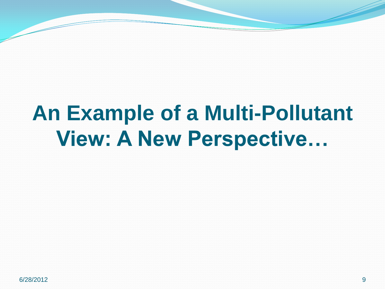## **An Example of a Multi-Pollutant View: A New Perspective…**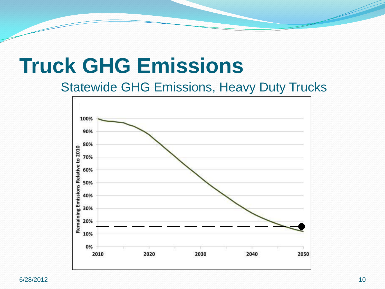#### **Truck GHG Emissions**

Statewide GHG Emissions, Heavy Duty Trucks



6/28/2012 10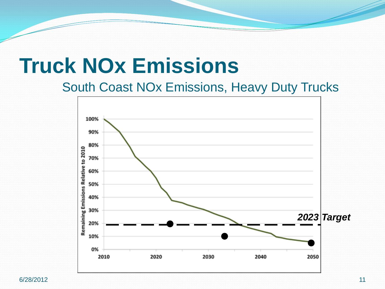#### **Truck NOx Emissions**

South Coast NOx Emissions, Heavy Duty Trucks

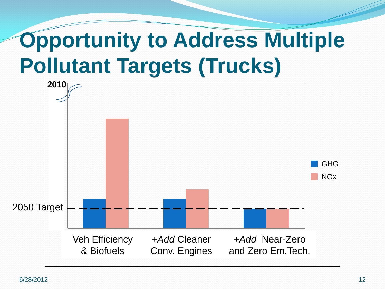## **Opportunity to Address Multiple Pollutant Targets (Trucks)**

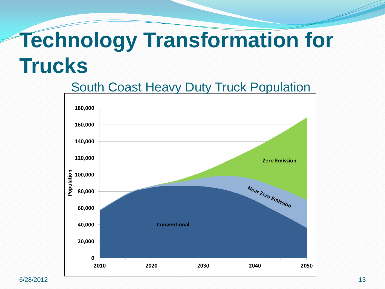## **Technology Transformation for Trucks**

#### South Coast Heavy Duty Truck Population

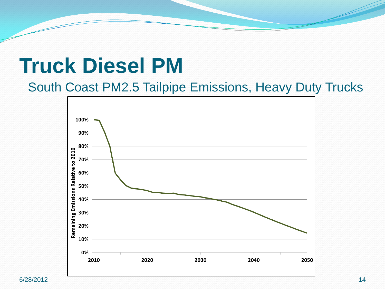#### **Truck Diesel PM**

South Coast PM2.5 Tailpipe Emissions, Heavy Duty Trucks

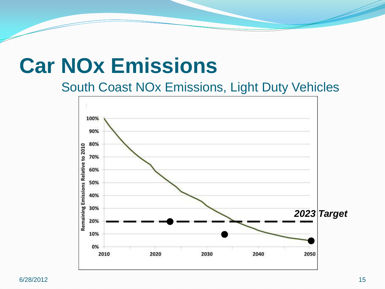#### **Car NOx Emissions**

#### South Coast NOx Emissions, Light Duty Vehicles

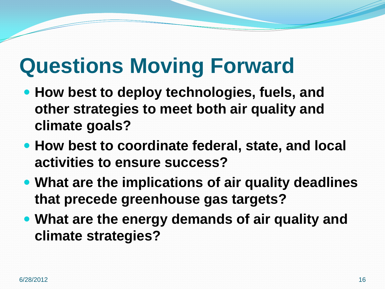## **Questions Moving Forward**

- **How best to deploy technologies, fuels, and other strategies to meet both air quality and climate goals?**
- **How best to coordinate federal, state, and local activities to ensure success?**
- **What are the implications of air quality deadlines that precede greenhouse gas targets?**
- **What are the energy demands of air quality and climate strategies?**